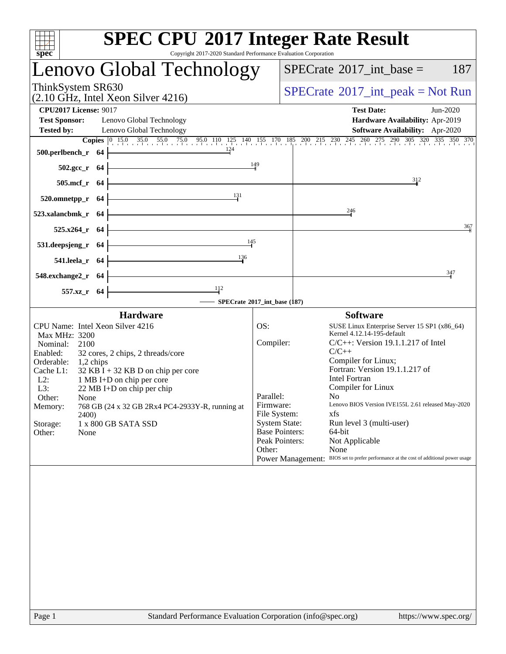| spec                                                                                              | <b>SPEC CPU®2017 Integer Rate Result</b><br>Copyright 2017-2020 Standard Performance Evaluation Corporation      |
|---------------------------------------------------------------------------------------------------|------------------------------------------------------------------------------------------------------------------|
| Lenovo Global Technology                                                                          | $SPECrate^{\circledast}2017\_int\_base =$<br>187                                                                 |
| ThinkSystem SR630<br>$(2.10 \text{ GHz}, \text{Intel Xeon Silver } 4216)$                         | $SPECrate^{\circledast}2017\_int\_peak = Not Run$                                                                |
| <b>CPU2017 License: 9017</b>                                                                      | <b>Test Date:</b><br>Jun-2020                                                                                    |
| <b>Test Sponsor:</b><br>Lenovo Global Technology<br><b>Tested by:</b><br>Lenovo Global Technology | Hardware Availability: Apr-2019<br>Software Availability: Apr-2020                                               |
|                                                                                                   | <b>Copies</b> 0 15.0 35.0 55.0 75.0 95.0 110 125 140 155 170 185 200 215 230 245 260 275 290 305 320 335 350 370 |
| $\frac{124}{1}$<br>500.perlbench_r $64$ $\vdash$                                                  |                                                                                                                  |
| $502.\text{sec}_{r}$ 64                                                                           | 149                                                                                                              |
| $505.\text{mcf}_r$ 64                                                                             | 312                                                                                                              |
| 520.omnetpp_r 64 $\frac{131}{1}$                                                                  |                                                                                                                  |
| $523.xalanchmk_r$ 64                                                                              | 246                                                                                                              |
| $525.x264$ r 64                                                                                   | 367                                                                                                              |
| 531.deepsjeng_r 64 $\frac{145}{1}$                                                                |                                                                                                                  |
| 541.leela_r 64 $\frac{136}{10}$                                                                   |                                                                                                                  |
| 548.exchange2_r $64$ $\overline{\phantom{1}}$                                                     | 347                                                                                                              |
| 557.xz_r 64 $\boxed{1}$                                                                           |                                                                                                                  |
|                                                                                                   | - SPECrate®2017_int_base (187)                                                                                   |
| <b>Hardware</b>                                                                                   | <b>Software</b><br>SUSE Linux Enterprise Server 15 SP1 (x86_64)                                                  |
| CPU Name: Intel Xeon Silver 4216<br>Max MHz: 3200                                                 | OS:<br>Kernel 4.12.14-195-default                                                                                |
| Nominal: 2100<br>Enabled:<br>32 cores, 2 chips, 2 threads/core                                    | Compiler:<br>$C/C++$ : Version 19.1.1.217 of Intel<br>$C/C++$                                                    |
| Orderable: 1,2 chips                                                                              | Compiler for Linux;                                                                                              |
| $32$ KB I + 32 KB D on chip per core<br>Cache L1:<br>$L2$ :<br>1 MB I+D on chip per core          | Fortran: Version 19.1.1.217 of<br><b>Intel Fortran</b>                                                           |
| L3:<br>$22 \text{ MB I+D}$ on chip per chip                                                       | Compiler for Linux<br>Parallel:<br>No.                                                                           |
| Other:<br>None<br>768 GB (24 x 32 GB 2Rx4 PC4-2933Y-R, running at<br>Memory:                      | Firmware:<br>Lenovo BIOS Version IVE155L 2.61 released May-2020                                                  |
| 2400)                                                                                             | File System:<br>xfs<br><b>System State:</b><br>Run level 3 (multi-user)                                          |
| 1 x 800 GB SATA SSD<br>Storage:<br>Other:<br>None                                                 | <b>Base Pointers:</b><br>64-bit                                                                                  |
|                                                                                                   | Peak Pointers:<br>Not Applicable<br>None<br>Other:                                                               |
|                                                                                                   | Power Management: BIOS set to prefer performance at the cost of additional power usage                           |
|                                                                                                   |                                                                                                                  |
|                                                                                                   |                                                                                                                  |
|                                                                                                   |                                                                                                                  |
|                                                                                                   |                                                                                                                  |
|                                                                                                   |                                                                                                                  |
|                                                                                                   |                                                                                                                  |
|                                                                                                   |                                                                                                                  |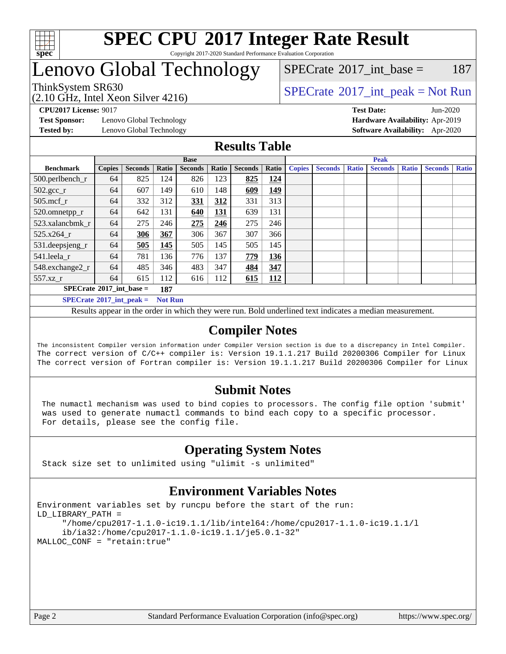

#### **[SPEC CPU](http://www.spec.org/auto/cpu2017/Docs/result-fields.html#SPECCPU2017IntegerRateResult)[2017 Integer Rate Result](http://www.spec.org/auto/cpu2017/Docs/result-fields.html#SPECCPU2017IntegerRateResult)** Copyright 2017-2020 Standard Performance Evaluation Corporation

## Lenovo Global Technology

ThinkSystem SR630<br>  $SPECTA = 10 \text{ GHz}$  [SPECrate](http://www.spec.org/auto/cpu2017/Docs/result-fields.html#SPECrate2017intpeak)®[2017\\_int\\_peak = N](http://www.spec.org/auto/cpu2017/Docs/result-fields.html#SPECrate2017intpeak)ot Run  $SPECTate$ <sup>®</sup>[2017\\_int\\_base =](http://www.spec.org/auto/cpu2017/Docs/result-fields.html#SPECrate2017intbase) 187

(2.10 GHz, Intel Xeon Silver 4216)

**[Test Sponsor:](http://www.spec.org/auto/cpu2017/Docs/result-fields.html#TestSponsor)** Lenovo Global Technology **[Hardware Availability:](http://www.spec.org/auto/cpu2017/Docs/result-fields.html#HardwareAvailability)** Apr-2019 **[Tested by:](http://www.spec.org/auto/cpu2017/Docs/result-fields.html#Testedby)** Lenovo Global Technology **[Software Availability:](http://www.spec.org/auto/cpu2017/Docs/result-fields.html#SoftwareAvailability)** Apr-2020

**[CPU2017 License:](http://www.spec.org/auto/cpu2017/Docs/result-fields.html#CPU2017License)** 9017 **[Test Date:](http://www.spec.org/auto/cpu2017/Docs/result-fields.html#TestDate)** Jun-2020

#### **[Results Table](http://www.spec.org/auto/cpu2017/Docs/result-fields.html#ResultsTable)**

|                                          | <b>Base</b>   |                |                |                |       | <b>Peak</b>    |       |               |                |              |                |              |                |              |
|------------------------------------------|---------------|----------------|----------------|----------------|-------|----------------|-------|---------------|----------------|--------------|----------------|--------------|----------------|--------------|
| <b>Benchmark</b>                         | <b>Copies</b> | <b>Seconds</b> | Ratio          | <b>Seconds</b> | Ratio | <b>Seconds</b> | Ratio | <b>Copies</b> | <b>Seconds</b> | <b>Ratio</b> | <b>Seconds</b> | <b>Ratio</b> | <b>Seconds</b> | <b>Ratio</b> |
| 500.perlbench_r                          | 64            | 825            | 124            | 826            | 123   | 825            | 124   |               |                |              |                |              |                |              |
| $502.\text{gcc}$ <sub>r</sub>            | 64            | 607            | 149            | 610            | 148   | 609            | 149   |               |                |              |                |              |                |              |
| 505.mcf r                                | 64            | 332            | 312            | 331            | 312   | 331            | 313   |               |                |              |                |              |                |              |
| 520.omnetpp_r                            | 64            | 642            | 131            | 640            | 131   | 639            | 131   |               |                |              |                |              |                |              |
| 523.xalancbmk_r                          | 64            | 275            | 246            | 275            | 246   | 275            | 246   |               |                |              |                |              |                |              |
| 525.x264 r                               | 64            | 306            | 367            | 306            | 367   | 307            | 366   |               |                |              |                |              |                |              |
| 531.deepsjeng_r                          | 64            | 505            | 145            | 505            | 145   | 505            | 145   |               |                |              |                |              |                |              |
| 541.leela_r                              | 64            | 781            | 136            | 776            | 137   | 779            | 136   |               |                |              |                |              |                |              |
| 548.exchange2_r                          | 64            | 485            | 346            | 483            | 347   | 484            | 347   |               |                |              |                |              |                |              |
| 557.xz r                                 | 64            | 615            | 112            | 616            | 112   | 615            | 112   |               |                |              |                |              |                |              |
| $SPECrate^{\circ}2017$ int base =<br>187 |               |                |                |                |       |                |       |               |                |              |                |              |                |              |
| $SPECrate^{\circ}2017$ int peak =        |               |                | <b>Not Run</b> |                |       |                |       |               |                |              |                |              |                |              |

Results appear in the [order in which they were run](http://www.spec.org/auto/cpu2017/Docs/result-fields.html#RunOrder). Bold underlined text [indicates a median measurement](http://www.spec.org/auto/cpu2017/Docs/result-fields.html#Median).

### **[Compiler Notes](http://www.spec.org/auto/cpu2017/Docs/result-fields.html#CompilerNotes)**

The inconsistent Compiler version information under Compiler Version section is due to a discrepancy in Intel Compiler. The correct version of C/C++ compiler is: Version 19.1.1.217 Build 20200306 Compiler for Linux The correct version of Fortran compiler is: Version 19.1.1.217 Build 20200306 Compiler for Linux

### **[Submit Notes](http://www.spec.org/auto/cpu2017/Docs/result-fields.html#SubmitNotes)**

 The numactl mechanism was used to bind copies to processors. The config file option 'submit' was used to generate numactl commands to bind each copy to a specific processor. For details, please see the config file.

### **[Operating System Notes](http://www.spec.org/auto/cpu2017/Docs/result-fields.html#OperatingSystemNotes)**

Stack size set to unlimited using "ulimit -s unlimited"

### **[Environment Variables Notes](http://www.spec.org/auto/cpu2017/Docs/result-fields.html#EnvironmentVariablesNotes)**

```
Environment variables set by runcpu before the start of the run:
LD_LIBRARY_PATH =
      "/home/cpu2017-1.1.0-ic19.1.1/lib/intel64:/home/cpu2017-1.1.0-ic19.1.1/l
      ib/ia32:/home/cpu2017-1.1.0-ic19.1.1/je5.0.1-32"
MALLOC_CONF = "retain:true"
```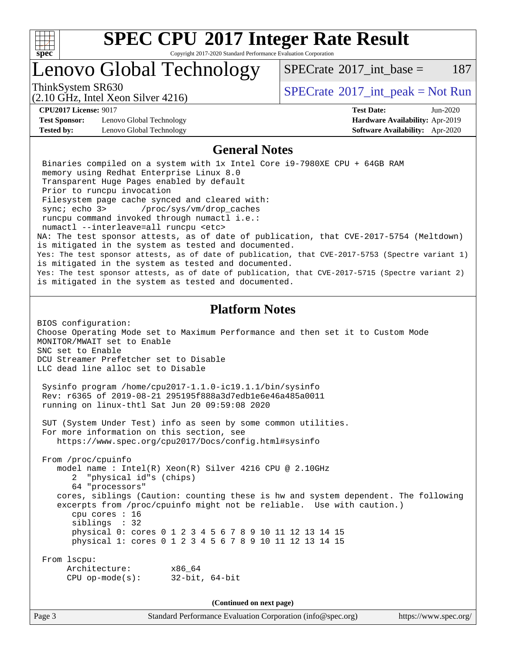

Copyright 2017-2020 Standard Performance Evaluation Corporation

### Lenovo Global Technology

ThinkSystem SR630<br>  $SPECTA = 10 \text{ GHz}$  [SPECrate](http://www.spec.org/auto/cpu2017/Docs/result-fields.html#SPECrate2017intpeak)®[2017\\_int\\_peak = N](http://www.spec.org/auto/cpu2017/Docs/result-fields.html#SPECrate2017intpeak)ot Run

 $SPECTate^{\circ}2017$  int base = 187

(2.10 GHz, Intel Xeon Silver 4216)

**[CPU2017 License:](http://www.spec.org/auto/cpu2017/Docs/result-fields.html#CPU2017License)** 9017 **[Test Date:](http://www.spec.org/auto/cpu2017/Docs/result-fields.html#TestDate)** Jun-2020 **[Test Sponsor:](http://www.spec.org/auto/cpu2017/Docs/result-fields.html#TestSponsor)** Lenovo Global Technology **[Hardware Availability:](http://www.spec.org/auto/cpu2017/Docs/result-fields.html#HardwareAvailability)** Apr-2019 **[Tested by:](http://www.spec.org/auto/cpu2017/Docs/result-fields.html#Testedby)** Lenovo Global Technology **[Software Availability:](http://www.spec.org/auto/cpu2017/Docs/result-fields.html#SoftwareAvailability)** Apr-2020

#### **[General Notes](http://www.spec.org/auto/cpu2017/Docs/result-fields.html#GeneralNotes)**

 Binaries compiled on a system with 1x Intel Core i9-7980XE CPU + 64GB RAM memory using Redhat Enterprise Linux 8.0 Transparent Huge Pages enabled by default Prior to runcpu invocation Filesystem page cache synced and cleared with: sync; echo 3> /proc/sys/vm/drop\_caches runcpu command invoked through numactl i.e.: numactl --interleave=all runcpu <etc> NA: The test sponsor attests, as of date of publication, that CVE-2017-5754 (Meltdown) is mitigated in the system as tested and documented. Yes: The test sponsor attests, as of date of publication, that CVE-2017-5753 (Spectre variant 1) is mitigated in the system as tested and documented. Yes: The test sponsor attests, as of date of publication, that CVE-2017-5715 (Spectre variant 2) is mitigated in the system as tested and documented. **[Platform Notes](http://www.spec.org/auto/cpu2017/Docs/result-fields.html#PlatformNotes)**

BIOS configuration: Choose Operating Mode set to Maximum Performance and then set it to Custom Mode MONITOR/MWAIT set to Enable SNC set to Enable DCU Streamer Prefetcher set to Disable LLC dead line alloc set to Disable

 Sysinfo program /home/cpu2017-1.1.0-ic19.1.1/bin/sysinfo Rev: r6365 of 2019-08-21 295195f888a3d7edb1e6e46a485a0011 running on linux-thtl Sat Jun 20 09:59:08 2020

 SUT (System Under Test) info as seen by some common utilities. For more information on this section, see <https://www.spec.org/cpu2017/Docs/config.html#sysinfo>

 From /proc/cpuinfo model name : Intel(R) Xeon(R) Silver 4216 CPU @ 2.10GHz 2 "physical id"s (chips) 64 "processors" cores, siblings (Caution: counting these is hw and system dependent. The following excerpts from /proc/cpuinfo might not be reliable. Use with caution.) cpu cores : 16 siblings : 32 physical 0: cores 0 1 2 3 4 5 6 7 8 9 10 11 12 13 14 15 physical 1: cores 0 1 2 3 4 5 6 7 8 9 10 11 12 13 14 15 From lscpu: Architecture: x86\_64

CPU op-mode(s): 32-bit, 64-bit

**(Continued on next page)**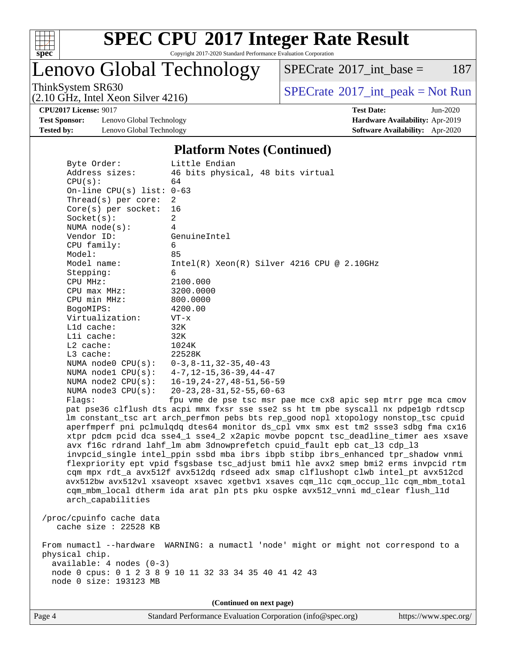

Copyright 2017-2020 Standard Performance Evaluation Corporation

## Lenovo Global Technology

 $SPECTate@2017_int\_base = 187$ 

(2.10 GHz, Intel Xeon Silver 4216)

ThinkSystem SR630<br>  $(2.10 \text{ GHz} \text{ Intel } \text{Yoon } \text{Silvar } 4216)$  [SPECrate](http://www.spec.org/auto/cpu2017/Docs/result-fields.html#SPECrate2017intpeak)®[2017\\_int\\_peak = N](http://www.spec.org/auto/cpu2017/Docs/result-fields.html#SPECrate2017intpeak)ot Run

**[Test Sponsor:](http://www.spec.org/auto/cpu2017/Docs/result-fields.html#TestSponsor)** Lenovo Global Technology **[Hardware Availability:](http://www.spec.org/auto/cpu2017/Docs/result-fields.html#HardwareAvailability)** Apr-2019 **[Tested by:](http://www.spec.org/auto/cpu2017/Docs/result-fields.html#Testedby)** Lenovo Global Technology **[Software Availability:](http://www.spec.org/auto/cpu2017/Docs/result-fields.html#SoftwareAvailability)** Apr-2020

**[CPU2017 License:](http://www.spec.org/auto/cpu2017/Docs/result-fields.html#CPU2017License)** 9017 **[Test Date:](http://www.spec.org/auto/cpu2017/Docs/result-fields.html#TestDate)** Jun-2020

#### **[Platform Notes \(Continued\)](http://www.spec.org/auto/cpu2017/Docs/result-fields.html#PlatformNotes)**

| Byte Order:                                       | Little Endian                                                                        |
|---------------------------------------------------|--------------------------------------------------------------------------------------|
| Address sizes:                                    | 46 bits physical, 48 bits virtual                                                    |
| CPU(s):                                           | 64                                                                                   |
| On-line CPU(s) list: $0-63$                       |                                                                                      |
| Thread(s) per core:                               | 2                                                                                    |
| $Core(s)$ per socket:                             | 16                                                                                   |
| Socket(s):                                        | $\overline{2}$                                                                       |
| NUMA $node(s)$ :                                  | 4                                                                                    |
| Vendor ID:                                        | GenuineIntel                                                                         |
| CPU family:                                       | 6                                                                                    |
| Model:                                            | 85                                                                                   |
| Model name:                                       | $Intel(R) Xeon(R) Silver 4216 CPU @ 2.10GHz$                                         |
| Stepping:                                         | 6                                                                                    |
| CPU MHz:                                          | 2100.000                                                                             |
| CPU max MHz:                                      | 3200.0000                                                                            |
| CPU min MHz:                                      | 800.0000                                                                             |
| BogoMIPS:                                         | 4200.00                                                                              |
| Virtualization:                                   | $VT - x$                                                                             |
| L1d cache:                                        | 32K                                                                                  |
| Lli cache:                                        | 32K                                                                                  |
| L2 cache:                                         | 1024K                                                                                |
| L3 cache:                                         | 22528K                                                                               |
| NUMA $node0$ $CPU(s):$                            | $0-3, 8-11, 32-35, 40-43$                                                            |
| NUMA $node1$ $CPU(s):$                            | $4 - 7$ , $12 - 15$ , $36 - 39$ , $44 - 47$                                          |
| NUMA $node2$ $CPU(s):$                            | $16 - 19, 24 - 27, 48 - 51, 56 - 59$                                                 |
| NUMA $node3$ $CPU(s)$ :                           | $20 - 23$ , $28 - 31$ , $52 - 55$ , $60 - 63$                                        |
| Flagg:                                            | fpu vme de pse tsc msr pae mce cx8 apic sep mtrr pge mca cmov                        |
|                                                   | pat pse36 clflush dts acpi mmx fxsr sse sse2 ss ht tm pbe syscall nx pdpelgb rdtscp  |
|                                                   | lm constant_tsc art arch_perfmon pebs bts rep_good nopl xtopology nonstop_tsc cpuid  |
|                                                   | aperfmperf pni pclmulqdq dtes64 monitor ds_cpl vmx smx est tm2 ssse3 sdbg fma cx16   |
|                                                   | xtpr pdcm pcid dca sse4_1 sse4_2 x2apic movbe popcnt tsc_deadline_timer aes xsave    |
|                                                   | avx f16c rdrand lahf_lm abm 3dnowprefetch cpuid_fault epb cat_13 cdp_13              |
|                                                   | invpcid_single intel_ppin ssbd mba ibrs ibpb stibp ibrs_enhanced tpr_shadow vnmi     |
|                                                   | flexpriority ept vpid fsgsbase tsc_adjust bmil hle avx2 smep bmi2 erms invpcid rtm   |
|                                                   | cqm mpx rdt_a avx512f avx512dq rdseed adx smap clflushopt clwb intel_pt avx512cd     |
|                                                   | avx512bw avx512vl xsaveopt xsavec xgetbvl xsaves cqm_llc cqm_occup_llc cqm_mbm_total |
|                                                   | cqm_mbm_local dtherm ida arat pln pts pku ospke avx512_vnni md_clear flush_l1d       |
| arch_capabilities                                 |                                                                                      |
|                                                   |                                                                                      |
| /proc/cpuinfo cache data<br>cache size : 22528 KB |                                                                                      |
|                                                   |                                                                                      |
|                                                   | From numactl --hardware WARNING: a numactl 'node' might or might not correspond to a |
| physical chip.                                    |                                                                                      |
| $available: 4 nodes (0-3)$                        |                                                                                      |
|                                                   | node 0 cpus: 0 1 2 3 8 9 10 11 32 33 34 35 40 41 42 43                               |
| node 0 size: 193123 MB                            |                                                                                      |
|                                                   |                                                                                      |
|                                                   | (Continued on next page)                                                             |
|                                                   |                                                                                      |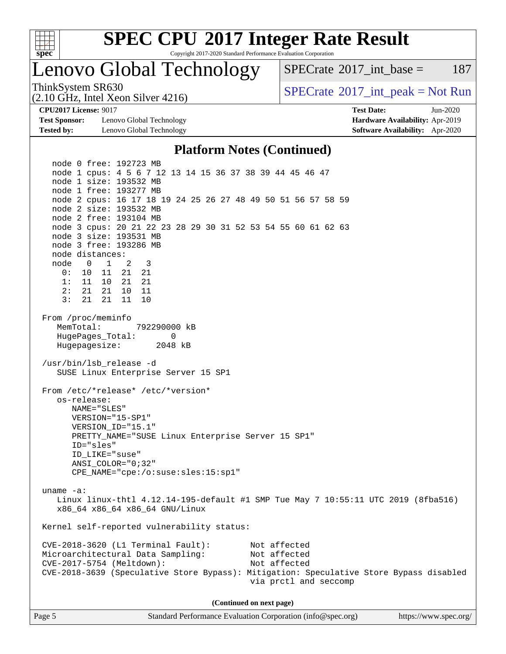

Copyright 2017-2020 Standard Performance Evaluation Corporation

## Lenovo Global Technology

 $SPECTate@2017\_int\_base = 187$ 

(2.10 GHz, Intel Xeon Silver 4216)

ThinkSystem SR630<br>  $SPECTA = 10 \text{ GHz}$  [SPECrate](http://www.spec.org/auto/cpu2017/Docs/result-fields.html#SPECrate2017intpeak)®[2017\\_int\\_peak = N](http://www.spec.org/auto/cpu2017/Docs/result-fields.html#SPECrate2017intpeak)ot Run

**[Test Sponsor:](http://www.spec.org/auto/cpu2017/Docs/result-fields.html#TestSponsor)** Lenovo Global Technology **[Hardware Availability:](http://www.spec.org/auto/cpu2017/Docs/result-fields.html#HardwareAvailability)** Apr-2019 **[Tested by:](http://www.spec.org/auto/cpu2017/Docs/result-fields.html#Testedby)** Lenovo Global Technology **[Software Availability:](http://www.spec.org/auto/cpu2017/Docs/result-fields.html#SoftwareAvailability)** Apr-2020

**[CPU2017 License:](http://www.spec.org/auto/cpu2017/Docs/result-fields.html#CPU2017License)** 9017 **[Test Date:](http://www.spec.org/auto/cpu2017/Docs/result-fields.html#TestDate)** Jun-2020

#### **[Platform Notes \(Continued\)](http://www.spec.org/auto/cpu2017/Docs/result-fields.html#PlatformNotes)**

 node 0 free: 192723 MB node 1 cpus: 4 5 6 7 12 13 14 15 36 37 38 39 44 45 46 47 node 1 size: 193532 MB node 1 free: 193277 MB node 2 cpus: 16 17 18 19 24 25 26 27 48 49 50 51 56 57 58 59 node 2 size: 193532 MB node 2 free: 193104 MB node 3 cpus: 20 21 22 23 28 29 30 31 52 53 54 55 60 61 62 63 node 3 size: 193531 MB node 3 free: 193286 MB node distances: node 0 1 2 3 0: 10 11 21 21 1: 11 10 21 21 2: 21 21 10 11 3: 21 21 11 10 From /proc/meminfo MemTotal: 792290000 kB HugePages\_Total: 0 Hugepagesize: 2048 kB /usr/bin/lsb\_release -d SUSE Linux Enterprise Server 15 SP1 From /etc/\*release\* /etc/\*version\* os-release: NAME="SLES" VERSION="15-SP1" VERSION\_ID="15.1" PRETTY\_NAME="SUSE Linux Enterprise Server 15 SP1" ID="sles" ID\_LIKE="suse" ANSI\_COLOR="0;32" CPE\_NAME="cpe:/o:suse:sles:15:sp1" uname -a: Linux linux-thtl 4.12.14-195-default #1 SMP Tue May 7 10:55:11 UTC 2019 (8fba516) x86\_64 x86\_64 x86\_64 GNU/Linux Kernel self-reported vulnerability status: CVE-2018-3620 (L1 Terminal Fault): Not affected Microarchitectural Data Sampling: Not affected CVE-2017-5754 (Meltdown): Not affected CVE-2018-3639 (Speculative Store Bypass): Mitigation: Speculative Store Bypass disabled via prctl and seccomp **(Continued on next page)**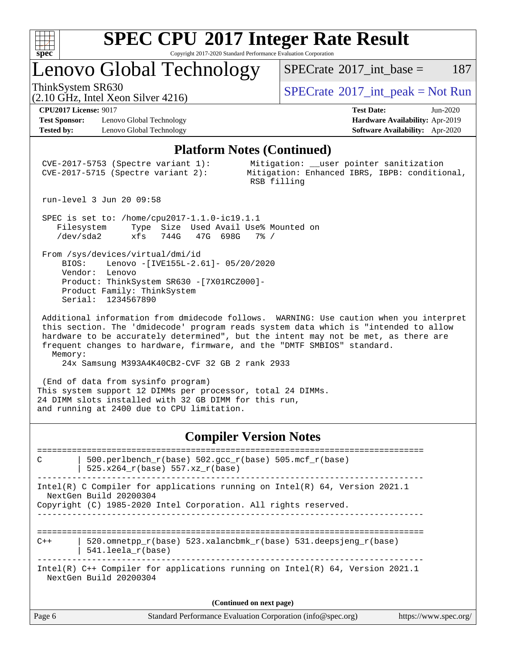

Copyright 2017-2020 Standard Performance Evaluation Corporation

Lenovo Global Technology

ThinkSystem SR630<br>  $SPECTR_{12}$  [SPECrate](http://www.spec.org/auto/cpu2017/Docs/result-fields.html#SPECrate2017intpeak)®[2017\\_int\\_peak = N](http://www.spec.org/auto/cpu2017/Docs/result-fields.html#SPECrate2017intpeak)ot Run

 $SPECTate^{\circ}2017$  int base = 187

(2.10 GHz, Intel Xeon Silver 4216)

**[Test Sponsor:](http://www.spec.org/auto/cpu2017/Docs/result-fields.html#TestSponsor)** Lenovo Global Technology **[Hardware Availability:](http://www.spec.org/auto/cpu2017/Docs/result-fields.html#HardwareAvailability)** Apr-2019 **[Tested by:](http://www.spec.org/auto/cpu2017/Docs/result-fields.html#Testedby)** Lenovo Global Technology **[Software Availability:](http://www.spec.org/auto/cpu2017/Docs/result-fields.html#SoftwareAvailability)** Apr-2020

**[CPU2017 License:](http://www.spec.org/auto/cpu2017/Docs/result-fields.html#CPU2017License)** 9017 **[Test Date:](http://www.spec.org/auto/cpu2017/Docs/result-fields.html#TestDate)** Jun-2020

#### **[Platform Notes \(Continued\)](http://www.spec.org/auto/cpu2017/Docs/result-fields.html#PlatformNotes)**

 CVE-2017-5753 (Spectre variant 1): Mitigation: \_\_user pointer sanitization CVE-2017-5715 (Spectre variant 2): Mitigation: Enhanced IBRS, IBPB: conditional, RSB filling

run-level 3 Jun 20 09:58

 SPEC is set to: /home/cpu2017-1.1.0-ic19.1.1 Filesystem Type Size Used Avail Use% Mounted on /dev/sda2 xfs 744G 47G 698G 7% /

 From /sys/devices/virtual/dmi/id BIOS: Lenovo -[IVE155L-2.61]- 05/20/2020 Vendor: Lenovo Product: ThinkSystem SR630 -[7X01RCZ000]- Product Family: ThinkSystem Serial: 1234567890

 Additional information from dmidecode follows. WARNING: Use caution when you interpret this section. The 'dmidecode' program reads system data which is "intended to allow hardware to be accurately determined", but the intent may not be met, as there are frequent changes to hardware, firmware, and the "DMTF SMBIOS" standard. Memory:

24x Samsung M393A4K40CB2-CVF 32 GB 2 rank 2933

 (End of data from sysinfo program) This system support 12 DIMMs per processor, total 24 DIMMs. 24 DIMM slots installed with 32 GB DIMM for this run, and running at 2400 due to CPU limitation.

#### **[Compiler Version Notes](http://www.spec.org/auto/cpu2017/Docs/result-fields.html#CompilerVersionNotes)**

============================================================================== C | 500.perlbench\_r(base) 502.gcc\_r(base) 505.mcf\_r(base) | 525.x264 $r(base)$  557.xz $r(base)$ ------------------------------------------------------------------------------ Intel(R) C Compiler for applications running on Intel(R) 64, Version 2021.1 NextGen Build 20200304 Copyright (C) 1985-2020 Intel Corporation. All rights reserved. ------------------------------------------------------------------------------ ==============================================================================  $C++$  | 520.omnetpp\_r(base) 523.xalancbmk\_r(base) 531.deepsjeng\_r(base) | 541.leela\_r(base) ------------------------------------------------------------------------------ Intel(R) C++ Compiler for applications running on Intel(R) 64, Version 2021.1 NextGen Build 20200304 **(Continued on next page)**

| Standard Performance Evaluation Corporation (info@spec.org)<br>Page 6 | https://www.spec.org/ |
|-----------------------------------------------------------------------|-----------------------|
|-----------------------------------------------------------------------|-----------------------|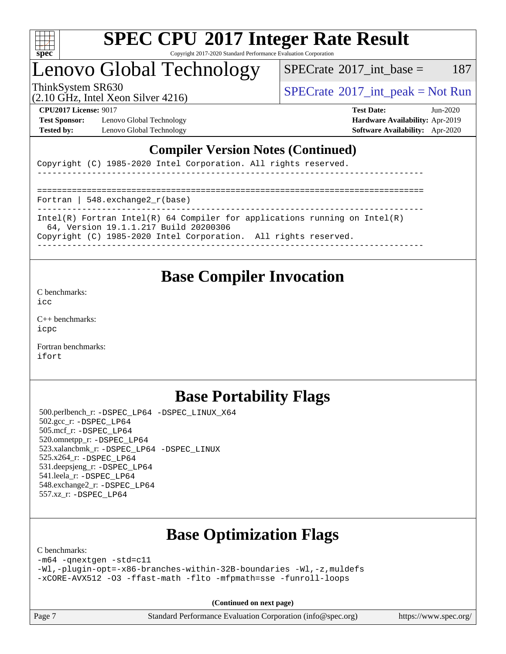

Copyright 2017-2020 Standard Performance Evaluation Corporation

### Lenovo Global Technology

 $SPECTate$ <sup>®</sup>[2017\\_int\\_base =](http://www.spec.org/auto/cpu2017/Docs/result-fields.html#SPECrate2017intbase) 187

(2.10 GHz, Intel Xeon Silver 4216)

ThinkSystem SR630<br>  $SPECTA = 10$  [SPECrate](http://www.spec.org/auto/cpu2017/Docs/result-fields.html#SPECrate2017intpeak)®[2017\\_int\\_peak = N](http://www.spec.org/auto/cpu2017/Docs/result-fields.html#SPECrate2017intpeak)ot Run

**[Test Sponsor:](http://www.spec.org/auto/cpu2017/Docs/result-fields.html#TestSponsor)** Lenovo Global Technology **[Hardware Availability:](http://www.spec.org/auto/cpu2017/Docs/result-fields.html#HardwareAvailability)** Apr-2019 **[Tested by:](http://www.spec.org/auto/cpu2017/Docs/result-fields.html#Testedby)** Lenovo Global Technology **[Software Availability:](http://www.spec.org/auto/cpu2017/Docs/result-fields.html#SoftwareAvailability)** Apr-2020

**[CPU2017 License:](http://www.spec.org/auto/cpu2017/Docs/result-fields.html#CPU2017License)** 9017 **[Test Date:](http://www.spec.org/auto/cpu2017/Docs/result-fields.html#TestDate)** Jun-2020

#### **[Compiler Version Notes \(Continued\)](http://www.spec.org/auto/cpu2017/Docs/result-fields.html#CompilerVersionNotes)**

Copyright (C) 1985-2020 Intel Corporation. All rights reserved.

------------------------------------------------------------------------------

============================================================================== Fortran | 548.exchange2\_r(base)

------------------------------------------------------------------------------

Intel(R) Fortran Intel(R) 64 Compiler for applications running on Intel(R)

64, Version 19.1.1.217 Build 20200306

Copyright (C) 1985-2020 Intel Corporation. All rights reserved.

------------------------------------------------------------------------------

### **[Base Compiler Invocation](http://www.spec.org/auto/cpu2017/Docs/result-fields.html#BaseCompilerInvocation)**

[C benchmarks](http://www.spec.org/auto/cpu2017/Docs/result-fields.html#Cbenchmarks):

[icc](http://www.spec.org/cpu2017/results/res2020q3/cpu2017-20200619-22954.flags.html#user_CCbase_intel_icc_66fc1ee009f7361af1fbd72ca7dcefbb700085f36577c54f309893dd4ec40d12360134090235512931783d35fd58c0460139e722d5067c5574d8eaf2b3e37e92)

[C++ benchmarks:](http://www.spec.org/auto/cpu2017/Docs/result-fields.html#CXXbenchmarks) [icpc](http://www.spec.org/cpu2017/results/res2020q3/cpu2017-20200619-22954.flags.html#user_CXXbase_intel_icpc_c510b6838c7f56d33e37e94d029a35b4a7bccf4766a728ee175e80a419847e808290a9b78be685c44ab727ea267ec2f070ec5dc83b407c0218cded6866a35d07)

[Fortran benchmarks](http://www.spec.org/auto/cpu2017/Docs/result-fields.html#Fortranbenchmarks): [ifort](http://www.spec.org/cpu2017/results/res2020q3/cpu2017-20200619-22954.flags.html#user_FCbase_intel_ifort_8111460550e3ca792625aed983ce982f94888b8b503583aa7ba2b8303487b4d8a21a13e7191a45c5fd58ff318f48f9492884d4413fa793fd88dd292cad7027ca)

### **[Base Portability Flags](http://www.spec.org/auto/cpu2017/Docs/result-fields.html#BasePortabilityFlags)**

 500.perlbench\_r: [-DSPEC\\_LP64](http://www.spec.org/cpu2017/results/res2020q3/cpu2017-20200619-22954.flags.html#b500.perlbench_r_basePORTABILITY_DSPEC_LP64) [-DSPEC\\_LINUX\\_X64](http://www.spec.org/cpu2017/results/res2020q3/cpu2017-20200619-22954.flags.html#b500.perlbench_r_baseCPORTABILITY_DSPEC_LINUX_X64) 502.gcc\_r: [-DSPEC\\_LP64](http://www.spec.org/cpu2017/results/res2020q3/cpu2017-20200619-22954.flags.html#suite_basePORTABILITY502_gcc_r_DSPEC_LP64) 505.mcf\_r: [-DSPEC\\_LP64](http://www.spec.org/cpu2017/results/res2020q3/cpu2017-20200619-22954.flags.html#suite_basePORTABILITY505_mcf_r_DSPEC_LP64) 520.omnetpp\_r: [-DSPEC\\_LP64](http://www.spec.org/cpu2017/results/res2020q3/cpu2017-20200619-22954.flags.html#suite_basePORTABILITY520_omnetpp_r_DSPEC_LP64) 523.xalancbmk\_r: [-DSPEC\\_LP64](http://www.spec.org/cpu2017/results/res2020q3/cpu2017-20200619-22954.flags.html#suite_basePORTABILITY523_xalancbmk_r_DSPEC_LP64) [-DSPEC\\_LINUX](http://www.spec.org/cpu2017/results/res2020q3/cpu2017-20200619-22954.flags.html#b523.xalancbmk_r_baseCXXPORTABILITY_DSPEC_LINUX) 525.x264\_r: [-DSPEC\\_LP64](http://www.spec.org/cpu2017/results/res2020q3/cpu2017-20200619-22954.flags.html#suite_basePORTABILITY525_x264_r_DSPEC_LP64) 531.deepsjeng\_r: [-DSPEC\\_LP64](http://www.spec.org/cpu2017/results/res2020q3/cpu2017-20200619-22954.flags.html#suite_basePORTABILITY531_deepsjeng_r_DSPEC_LP64) 541.leela\_r: [-DSPEC\\_LP64](http://www.spec.org/cpu2017/results/res2020q3/cpu2017-20200619-22954.flags.html#suite_basePORTABILITY541_leela_r_DSPEC_LP64) 548.exchange2\_r: [-DSPEC\\_LP64](http://www.spec.org/cpu2017/results/res2020q3/cpu2017-20200619-22954.flags.html#suite_basePORTABILITY548_exchange2_r_DSPEC_LP64) 557.xz\_r: [-DSPEC\\_LP64](http://www.spec.org/cpu2017/results/res2020q3/cpu2017-20200619-22954.flags.html#suite_basePORTABILITY557_xz_r_DSPEC_LP64)

### **[Base Optimization Flags](http://www.spec.org/auto/cpu2017/Docs/result-fields.html#BaseOptimizationFlags)**

[C benchmarks](http://www.spec.org/auto/cpu2017/Docs/result-fields.html#Cbenchmarks):

[-m64](http://www.spec.org/cpu2017/results/res2020q3/cpu2017-20200619-22954.flags.html#user_CCbase_m64-icc) [-qnextgen](http://www.spec.org/cpu2017/results/res2020q3/cpu2017-20200619-22954.flags.html#user_CCbase_f-qnextgen) [-std=c11](http://www.spec.org/cpu2017/results/res2020q3/cpu2017-20200619-22954.flags.html#user_CCbase_std-icc-std_0e1c27790398a4642dfca32ffe6c27b5796f9c2d2676156f2e42c9c44eaad0c049b1cdb667a270c34d979996257aeb8fc440bfb01818dbc9357bd9d174cb8524) [-Wl,-plugin-opt=-x86-branches-within-32B-boundaries](http://www.spec.org/cpu2017/results/res2020q3/cpu2017-20200619-22954.flags.html#user_CCbase_f-x86-branches-within-32B-boundaries_0098b4e4317ae60947b7b728078a624952a08ac37a3c797dfb4ffeb399e0c61a9dd0f2f44ce917e9361fb9076ccb15e7824594512dd315205382d84209e912f3) [-Wl,-z,muldefs](http://www.spec.org/cpu2017/results/res2020q3/cpu2017-20200619-22954.flags.html#user_CCbase_link_force_multiple1_b4cbdb97b34bdee9ceefcfe54f4c8ea74255f0b02a4b23e853cdb0e18eb4525ac79b5a88067c842dd0ee6996c24547a27a4b99331201badda8798ef8a743f577) [-xCORE-AVX512](http://www.spec.org/cpu2017/results/res2020q3/cpu2017-20200619-22954.flags.html#user_CCbase_f-xCORE-AVX512) [-O3](http://www.spec.org/cpu2017/results/res2020q3/cpu2017-20200619-22954.flags.html#user_CCbase_f-O3) [-ffast-math](http://www.spec.org/cpu2017/results/res2020q3/cpu2017-20200619-22954.flags.html#user_CCbase_f-ffast-math) [-flto](http://www.spec.org/cpu2017/results/res2020q3/cpu2017-20200619-22954.flags.html#user_CCbase_f-flto) [-mfpmath=sse](http://www.spec.org/cpu2017/results/res2020q3/cpu2017-20200619-22954.flags.html#user_CCbase_f-mfpmath_70eb8fac26bde974f8ab713bc9086c5621c0b8d2f6c86f38af0bd7062540daf19db5f3a066d8c6684be05d84c9b6322eb3b5be6619d967835195b93d6c02afa1) [-funroll-loops](http://www.spec.org/cpu2017/results/res2020q3/cpu2017-20200619-22954.flags.html#user_CCbase_f-funroll-loops)

**(Continued on next page)**

Page 7 Standard Performance Evaluation Corporation [\(info@spec.org\)](mailto:info@spec.org) <https://www.spec.org/>